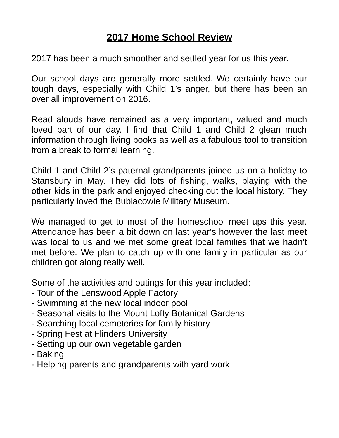# **2017 Home School Review**

2017 has been a much smoother and settled year for us this year.

Our school days are generally more settled. We certainly have our tough days, especially with Child 1's anger, but there has been an over all improvement on 2016.

Read alouds have remained as a very important, valued and much loved part of our day. I find that Child 1 and Child 2 glean much information through living books as well as a fabulous tool to transition from a break to formal learning.

Child 1 and Child 2's paternal grandparents joined us on a holiday to Stansbury in May. They did lots of fishing, walks, playing with the other kids in the park and enjoyed checking out the local history. They particularly loved the Bublacowie Military Museum.

We managed to get to most of the homeschool meet ups this year. Attendance has been a bit down on last year's however the last meet was local to us and we met some great local families that we hadn't met before. We plan to catch up with one family in particular as our children got along really well.

Some of the activities and outings for this year included:

- Tour of the Lenswood Apple Factory
- Swimming at the new local indoor pool
- Seasonal visits to the Mount Lofty Botanical Gardens
- Searching local cemeteries for family history
- Spring Fest at Flinders University
- Setting up our own vegetable garden
- Baking
- Helping parents and grandparents with yard work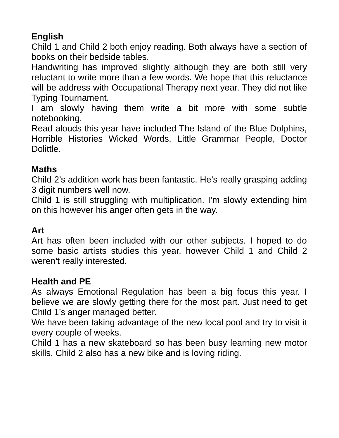## **English**

Child 1 and Child 2 both enjoy reading. Both always have a section of books on their bedside tables.

Handwriting has improved slightly although they are both still very reluctant to write more than a few words. We hope that this reluctance will be address with Occupational Therapy next year. They did not like Typing Tournament.

I am slowly having them write a bit more with some subtle notebooking.

Read alouds this year have included The Island of the Blue Dolphins, Horrible Histories Wicked Words, Little Grammar People, Doctor Dolittle.

### **Maths**

Child 2's addition work has been fantastic. He's really grasping adding 3 digit numbers well now.

Child 1 is still struggling with multiplication. I'm slowly extending him on this however his anger often gets in the way.

### **Art**

Art has often been included with our other subjects. I hoped to do some basic artists studies this year, however Child 1 and Child 2 weren't really interested.

### **Health and PE**

As always Emotional Regulation has been a big focus this year. I believe we are slowly getting there for the most part. Just need to get Child 1's anger managed better.

We have been taking advantage of the new local pool and try to visit it every couple of weeks.

Child 1 has a new skateboard so has been busy learning new motor skills. Child 2 also has a new bike and is loving riding.